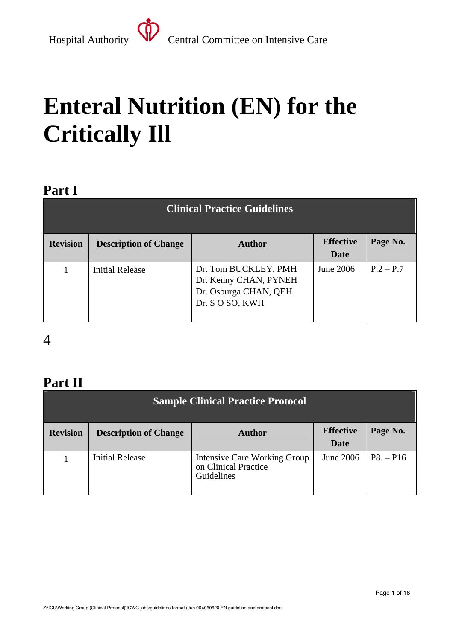# **Enteral Nutrition (EN) for the Critically Ill**

### **Part I**

| <b>Clinical Practice Guidelines</b> |                              |                                                                                           |                                 |             |
|-------------------------------------|------------------------------|-------------------------------------------------------------------------------------------|---------------------------------|-------------|
| <b>Revision</b>                     | <b>Description of Change</b> | <b>Author</b>                                                                             | <b>Effective</b><br><b>Date</b> | Page No.    |
|                                     | <b>Initial Release</b>       | Dr. Tom BUCKLEY, PMH<br>Dr. Kenny CHAN, PYNEH<br>Dr. Osburga CHAN, QEH<br>Dr. S O SO, KWH | June 2006                       | $P.2 - P.7$ |

### 4

### **Part II**

| <b>Sample Clinical Practice Protocol</b> |                              |                                                                           |                          |             |
|------------------------------------------|------------------------------|---------------------------------------------------------------------------|--------------------------|-------------|
| <b>Revision</b>                          | <b>Description of Change</b> | <b>Author</b>                                                             | <b>Effective</b><br>Date | Page No.    |
|                                          | <b>Initial Release</b>       | <b>Intensive Care Working Group</b><br>on Clinical Practice<br>Guidelines | June 2006                | $P8. - P16$ |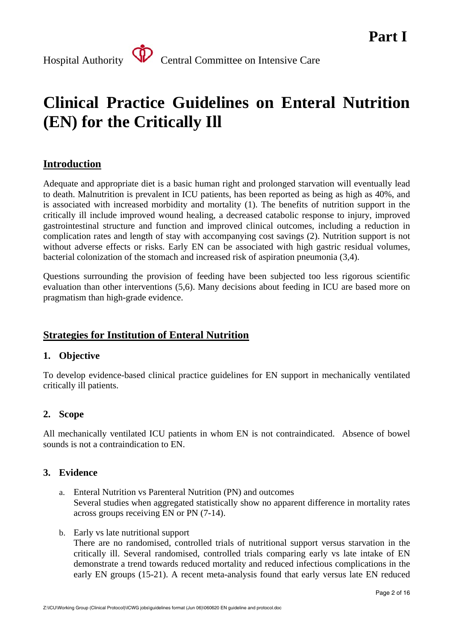### **Clinical Practice Guidelines on Enteral Nutrition (EN) for the Critically Ill**

### **Introduction**

Adequate and appropriate diet is a basic human right and prolonged starvation will eventually lead to death. Malnutrition is prevalent in ICU patients, has been reported as being as high as 40%, and is associated with increased morbidity and mortality (1). The benefits of nutrition support in the critically ill include improved wound healing, a decreased catabolic response to injury, improved gastrointestinal structure and function and improved clinical outcomes, including a reduction in complication rates and length of stay with accompanying cost savings (2). Nutrition support is not without adverse effects or risks. Early EN can be associated with high gastric residual volumes, bacterial colonization of the stomach and increased risk of aspiration pneumonia (3,4).

Questions surrounding the provision of feeding have been subjected too less rigorous scientific evaluation than other interventions (5,6). Many decisions about feeding in ICU are based more on pragmatism than high-grade evidence.

#### **Strategies for Institution of Enteral Nutrition**

#### **1. Objective**

To develop evidence-based clinical practice guidelines for EN support in mechanically ventilated critically ill patients.

#### **2. Scope**

All mechanically ventilated ICU patients in whom EN is not contraindicated. Absence of bowel sounds is not a contraindication to EN.

#### **3. Evidence**

- a. Enteral Nutrition vs Parenteral Nutrition (PN) and outcomes Several studies when aggregated statistically show no apparent difference in mortality rates across groups receiving EN or PN (7-14).
- b. Early vs late nutritional support

There are no randomised, controlled trials of nutritional support versus starvation in the critically ill. Several randomised, controlled trials comparing early vs late intake of EN demonstrate a trend towards reduced mortality and reduced infectious complications in the early EN groups (15-21). A recent meta-analysis found that early versus late EN reduced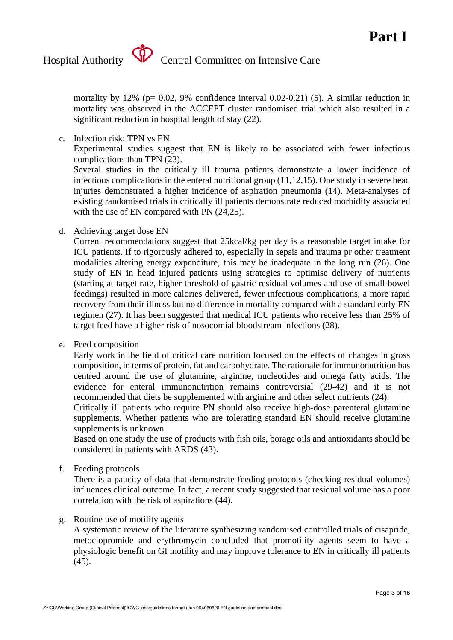mortality by 12% ( $p= 0.02$ , 9% confidence interval 0.02-0.21) (5). A similar reduction in mortality was observed in the ACCEPT cluster randomised trial which also resulted in a significant reduction in hospital length of stay (22).

c. Infection risk: TPN vs EN

Experimental studies suggest that EN is likely to be associated with fewer infectious complications than TPN (23).

Several studies in the critically ill trauma patients demonstrate a lower incidence of infectious complications in the enteral nutritional group (11,12,15). One study in severe head injuries demonstrated a higher incidence of aspiration pneumonia (14). Meta-analyses of existing randomised trials in critically ill patients demonstrate reduced morbidity associated with the use of EN compared with PN  $(24,25)$ .

d. Achieving target dose EN

Current recommendations suggest that 25kcal/kg per day is a reasonable target intake for ICU patients. If to rigorously adhered to, especially in sepsis and trauma pr other treatment modalities altering energy expenditure, this may be inadequate in the long run (26). One study of EN in head injured patients using strategies to optimise delivery of nutrients (starting at target rate, higher threshold of gastric residual volumes and use of small bowel feedings) resulted in more calories delivered, fewer infectious complications, a more rapid recovery from their illness but no difference in mortality compared with a standard early EN regimen (27). It has been suggested that medical ICU patients who receive less than 25% of target feed have a higher risk of nosocomial bloodstream infections (28).

e. Feed composition

Early work in the field of critical care nutrition focused on the effects of changes in gross composition, in terms of protein, fat and carbohydrate. The rationale for immunonutrition has centred around the use of glutamine, arginine, nucleotides and omega fatty acids. The evidence for enteral immunonutrition remains controversial (29-42) and it is not recommended that diets be supplemented with arginine and other select nutrients (24).

Critically ill patients who require PN should also receive high-dose parenteral glutamine supplements. Whether patients who are tolerating standard EN should receive glutamine supplements is unknown.

Based on one study the use of products with fish oils, borage oils and antioxidants should be considered in patients with ARDS (43).

f. Feeding protocols

There is a paucity of data that demonstrate feeding protocols (checking residual volumes) influences clinical outcome. In fact, a recent study suggested that residual volume has a poor correlation with the risk of aspirations (44).

g. Routine use of motility agents

A systematic review of the literature synthesizing randomised controlled trials of cisapride, metoclopromide and erythromycin concluded that promotility agents seem to have a physiologic benefit on GI motility and may improve tolerance to EN in critically ill patients  $(45)$ .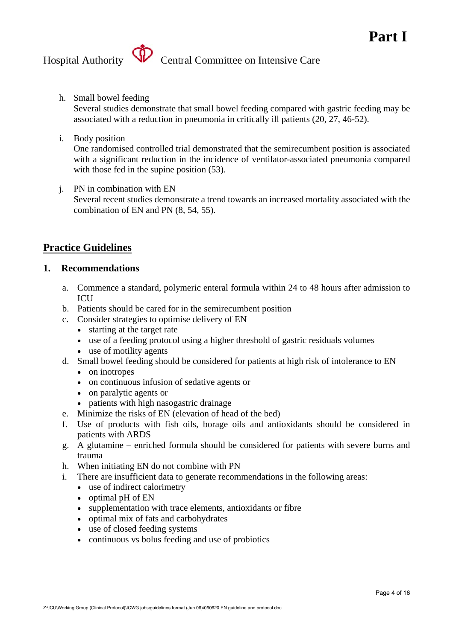h. Small bowel feeding

Several studies demonstrate that small bowel feeding compared with gastric feeding may be associated with a reduction in pneumonia in critically ill patients (20, 27, 46-52).

i. Body position

One randomised controlled trial demonstrated that the semirecumbent position is associated with a significant reduction in the incidence of ventilator-associated pneumonia compared with those fed in the supine position  $(53)$ .

j. PN in combination with EN

Several recent studies demonstrate a trend towards an increased mortality associated with the combination of EN and PN (8, 54, 55).

#### **Practice Guidelines**

#### **1. Recommendations**

- a. Commence a standard, polymeric enteral formula within 24 to 48 hours after admission to **ICU**
- b. Patients should be cared for in the semirecumbent position
- c. Consider strategies to optimise delivery of EN
	- starting at the target rate
	- use of a feeding protocol using a higher threshold of gastric residuals volumes
	- use of motility agents
- d. Small bowel feeding should be considered for patients at high risk of intolerance to EN
	- on inotropes
	- on continuous infusion of sedative agents or
	- on paralytic agents or
	- patients with high nasogastric drainage
- e. Minimize the risks of EN (elevation of head of the bed)
- f. Use of products with fish oils, borage oils and antioxidants should be considered in patients with ARDS
- g. A glutamine enriched formula should be considered for patients with severe burns and trauma
- h. When initiating EN do not combine with PN
- i. There are insufficient data to generate recommendations in the following areas:
	- use of indirect calorimetry
	- optimal pH of EN
	- supplementation with trace elements, antioxidants or fibre
	- optimal mix of fats and carbohydrates
	- use of closed feeding systems
	- continuous vs bolus feeding and use of probiotics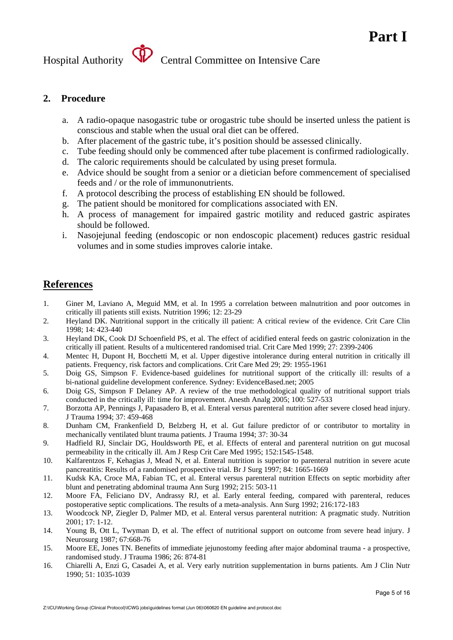#### **2. Procedure**

- a. A radio-opaque nasogastric tube or orogastric tube should be inserted unless the patient is conscious and stable when the usual oral diet can be offered.
- b. After placement of the gastric tube, it's position should be assessed clinically.
- c. Tube feeding should only be commenced after tube placement is confirmed radiologically.
- d. The caloric requirements should be calculated by using preset formula.
- e. Advice should be sought from a senior or a dietician before commencement of specialised feeds and / or the role of immunonutrients.
- f. A protocol describing the process of establishing EN should be followed.
- g. The patient should be monitored for complications associated with EN.
- h. A process of management for impaired gastric motility and reduced gastric aspirates should be followed.
- i. Nasojejunal feeding (endoscopic or non endoscopic placement) reduces gastric residual volumes and in some studies improves calorie intake.

#### **References**

- 1. Giner M, Laviano A, Meguid MM, et al. In 1995 a correlation between malnutrition and poor outcomes in critically ill patients still exists. Nutrition 1996; 12: 23-29
- 2. Heyland DK. Nutritional support in the critically ill patient: A critical review of the evidence. Crit Care Clin 1998; 14: 423-440
- 3. Heyland DK, Cook DJ Schoenfield PS, et al. The effect of acidified enteral feeds on gastric colonization in the critically ill patient. Results of a multicentered randomised trial. Crit Care Med 1999; 27: 2399-2406
- 4. Mentec H, Dupont H, Bocchetti M, et al. Upper digestive intolerance during enteral nutrition in critically ill patients. Frequency, risk factors and complications. Crit Care Med 29; 29: 1955-1961
- 5. Doig GS, Simpson F. Evidence-based guidelines for nutritional support of the critically ill: results of a bi-national guideline development conference. Sydney: EvidenceBased.net; 2005
- 6. Doig GS, Simpson F Delaney AP. A review of the true methodological quality of nutritional support trials conducted in the critically ill: time for improvement. Anesth Analg 2005; 100: 527-533
- 7. Borzotta AP, Pennings J, Papasadero B, et al. Enteral versus parenteral nutrition after severe closed head injury. J Trauma 1994; 37: 459-468
- 8. Dunham CM, Frankenfield D, Belzberg H, et al. Gut failure predictor of or contributor to mortality in mechanically ventilated blunt trauma patients. J Trauma 1994; 37: 30-34
- 9. Hadfield RJ, Sinclair DG, Houldsworth PE, et al. Effects of enteral and parenteral nutrition on gut mucosal permeability in the critically ill. Am J Resp Crit Care Med 1995; 152:1545-1548.
- 10. Kalfarentzos F, Kehagias J, Mead N, et al. Enteral nutrition is superior to parenteral nutrition in severe acute pancreatitis: Results of a randomised prospective trial. Br J Surg 1997; 84: 1665-1669
- 11. Kudsk KA, Croce MA, Fabian TC, et al. Enteral versus parenteral nutrition Effects on septic morbidity after blunt and penetrating abdominal trauma Ann Surg 1992; 215: 503-11
- 12. Moore FA, Feliciano DV, Andrassy RJ, et al. Early enteral feeding, compared with parenteral, reduces postoperative septic complications. The results of a meta-analysis. Ann Surg 1992; 216:172-183
- 13. Woodcock NP, Ziegler D, Palmer MD, et al. Enteral versus parenteral nutrition: A pragmatic study. Nutrition 2001; 17: 1-12.
- 14. Young B, Ott L, Twyman D, et al. The effect of nutritional support on outcome from severe head injury. J Neurosurg 1987; 67:668-76
- 15. Moore EE, Jones TN. Benefits of immediate jejunostomy feeding after major abdominal trauma a prospective, randomised study. J Trauma 1986; 26: 874-81
- 16. Chiarelli A, Enzi G, Casadei A, et al. Very early nutrition supplementation in burns patients. Am J Clin Nutr 1990; 51: 1035-1039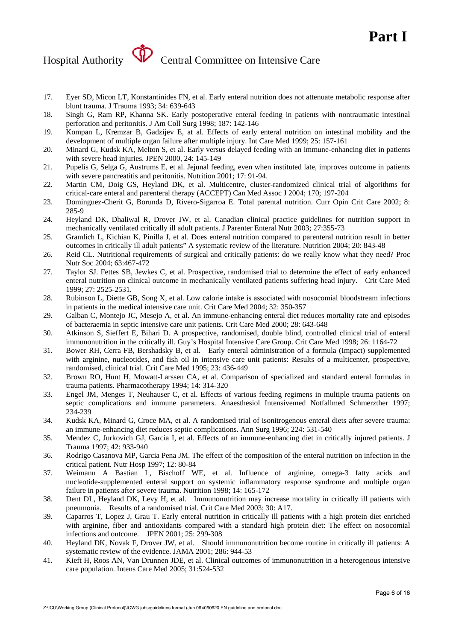- 17. Eyer SD, Micon LT, Konstantinides FN, et al. Early enteral nutrition does not attenuate metabolic response after blunt trauma. J Trauma 1993; 34: 639-643
- 18. Singh G, Ram RP, Khanna SK. Early postoperative enteral feeding in patients with nontraumatic intestinal perforation and peritonitis. J Am Coll Surg 1998; 187: 142-146
- 19. Kompan L, Kremzar B, Gadzijev E, at al. Effects of early enteral nutrition on intestinal mobility and the development of multiple organ failure after multiple injury. Int Care Med 1999; 25: 157-161
- 20. Minard G, Kudsk KA, Melton S, et al. Early versus delayed feeding with an immune-enhancing diet in patients with severe head injuries. JPEN 2000, 24: 145-149
- 21. Pupelis G, Selga G, Austrums E, et al. Jejunal feeding, even when instituted late, improves outcome in patients with severe pancreatitis and peritonitis. Nutrition 2001; 17: 91-94.
- 22. Martin CM, Doig GS, Heyland DK, et al. Multicentre, cluster-randomized clinical trial of algorithms for critical-care enteral and parenteral therapy (ACCEPT) Can Med Assoc J 2004; 170; 197-204
- 23. Dominguez-Cherit G, Borunda D, Rivero-Sigarroa E. Total parental nutrition. Curr Opin Crit Care 2002; 8: 285-9
- 24. Heyland DK, Dhaliwal R, Drover JW, et al. Canadian clinical practice guidelines for nutrition support in mechanically ventilated critically ill adult patients. J Parenter Enteral Nutr 2003; 27:355-73
- 25. Gramlich L, Kichian K, Pinilla J, et al. Does enteral nutrition compared to parenteral nutrition result in better outcomes in critically ill adult patients" A systematic review of the literature. Nutrition 2004; 20: 843-48
- 26. Reid CL. Nutritional requirements of surgical and critically patients: do we really know what they need? Proc Nutr Soc 2004; 63:467-472
- 27. Taylor SJ. Fettes SB, Jewkes C, et al. Prospective, randomised trial to determine the effect of early enhanced enteral nutrition on clinical outcome in mechanically ventilated patients suffering head injury. Crit Care Med 1999; 27: 2525-2531.
- 28. Rubinson L, Diette GB, Song X, et al. Low calorie intake is associated with nosocomial bloodstream infections in patients in the medical intensive care unit. Crit Care Med 2004; 32: 350-357
- 29. Galban C, Montejo JC, Mesejo A, et al. An immune-enhancing enteral diet reduces mortality rate and episodes of bacteraemia in septic intensive care unit patients. Crit Care Med 2000; 28: 643-648
- 30. Atkinson S, Sieffert E, Bihari D. A prospective, randomised, double blind, controlled clinical trial of enteral immunonutrition in the critically ill. Guy's Hospital Intensive Care Group. Crit Care Med 1998; 26: 1164-72
- 31. Bower RH, Cerra FB, Bershadsky B, et al. Early enteral administration of a formula (Impact) supplemented with arginine, nucleotides, and fish oil in intensive care unit patients: Results of a multicenter, prospective, randomised, clinical trial. Crit Care Med 1995; 23: 436-449
- 32. Brown RO, Hunt H, Mowatt-Larssen CA, et al. Comparison of specialized and standard enteral formulas in trauma patients. Pharmacotherapy 1994; 14: 314-320
- 33. Engel JM, Menges T, Neuhauser C, et al. Effects of various feeding regimens in multiple trauma patients on septic complications and immune parameters. Anaesthesiol Intensivemed Notfallmed Schmerzther 1997; 234-239
- 34. Kudsk KA, Minard G, Croce MA, et al. A randomised trial of isonitrogenous enteral diets after severe trauma: an immune-enhancing diet reduces septic complications. Ann Surg 1996; 224: 531-540
- 35. Mendez C, Jurkovich GJ, Garcia I, et al. Effects of an immune-enhancing diet in critically injured patients. J Trauma 1997; 42: 933-940
- 36. Rodrigo Casanova MP, Garcia Pena JM. The effect of the composition of the enteral nutrition on infection in the critical patient. Nutr Hosp 1997; 12: 80-84
- 37. Weimann A Bastian L, Bischoff WE, et al. Influence of arginine, omega-3 fatty acids and nucleotide-supplemented enteral support on systemic inflammatory response syndrome and multiple organ failure in patients after severe trauma. Nutrition 1998; 14: 165-172
- 38. Dent DL, Heyland DK, Levy H, et al. Immunonutrition may increase mortality in critically ill patients with pneumonia. Results of a randomised trial. Crit Care Med 2003; 30: A17.
- 39. Caparros T, Lopez J, Grau T. Early enteral nutrition in critically ill patients with a high protein diet enriched with arginine, fiber and antioxidants compared with a standard high protein diet: The effect on nosocomial infections and outcome. JPEN 2001; 25: 299-308
- 40. Heyland DK, Novak F, Drover JW, et al. Should immunonutrition become routine in critically ill patients: A systematic review of the evidence. JAMA 2001; 286: 944-53
- 41. Kieft H, Roos AN, Van Drunnen JDE, et al. Clinical outcomes of immunonutrition in a heterogenous intensive care population. Intens Care Med 2005; 31:524-532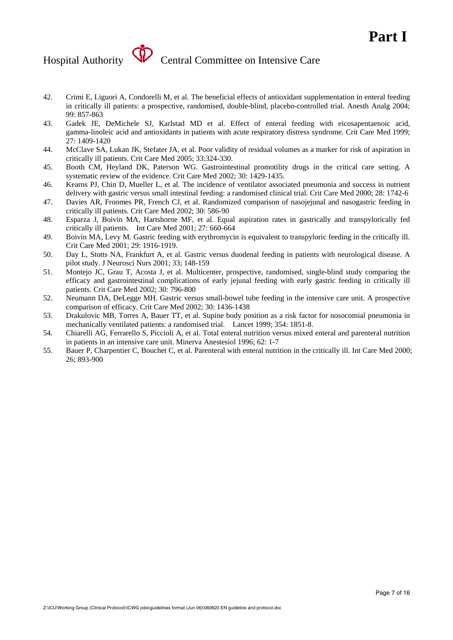- 42. Crimi E, Liguori A, Condorelli M, et al. The beneficial effects of antioxidant supplementation in enteral feeding in critically ill patients: a prospective, randomised, double-blind, placebo-controlled trial. Anesth Analg 2004; 99: 857-863
- 43. Gadek JE, DeMichele SJ, Karlstad MD et al. Effect of enteral feeding with eicosapentaenoic acid, gamma-linoleic acid and antioxidants in patients with acute respiratory distress syndrome. Crit Care Med 1999; 27: 1409-1420
- 44. McClave SA, Lukan JK, Stefater JA, et al. Poor validity of residual volumes as a marker for risk of aspiration in critically ill patients. Crit Care Med 2005; 33:324-330.
- 45. Booth CM, Heyland DK, Paterson WG. Gastrointestinal promotility drugs in the critical care setting. A systematic review of the evidence. Crit Care Med 2002; 30: 1429-1435.
- 46. Kearns PJ, Chin D, Mueller L, et al. The incidence of ventilator associated pneumonia and success in nutrient delivery with gastric versus small intestinal feeding: a randomised clinical trial. Crit Care Med 2000; 28: 1742-6
- 47. Davies AR, Froomes PR, French CJ, et al. Randomized comparison of nasojejunal and nasogastric feeding in critically ill patients. Crit Care Med 2002; 30: 586-90
- 48. Esparza J, Boivin MA, Hartshorne MF, et al. Equal aspiration rates in gastrically and transpylorically fed critically ill patients. Int Care Med 2001; 27: 660-664
- 49. Boivin MA, Levy M. Gastric feeding with erythromycin is equivalent to transpyloric feeding in the critically ill. Crit Care Med 2001; 29: 1916-1919.
- 50. Day L, Stotts NA, Frankfurt A, et al. Gastric versus duodenal feeding in patients with neurological disease. A pilot study. J Neurosci Nurs 2001; 33; 148-159
- 51. Montejo JC, Grau T, Acosta J, et al. Multicenter, prospective, randomised, single-blind study comparing the efficacy and gastrointestinal complications of early jejunal feeding with early gastric feeding in critically ill patients. Crit Care Med 2002; 30: 796-800
- 52. Neumann DA, DeLegge MH. Gastric versus small-bowel tube feeding in the intensive care unit. A prospective comparison of efficacy. Crit Care Med 2002; 30: 1436-1438
- 53. Drakulovic MB, Torres A, Bauer TT, et al. Supine body position as a risk factor for nosocomial pneumonia in mechanically ventilated patients: a randomised trial. Lancet 1999; 354: 1851-8.
- 54. Chiarelli AG, Ferrarello S, Piccioli A, et al. Total enteral nutrition versus mixed enteral and parenteral nutrition in patients in an intensive care unit. Minerva Anestesiol 1996; 62: 1-7
- 55. Bauer P, Charpentier C, Bouchet C, et al. Parenteral with enteral nutrition in the critically ill. Int Care Med 2000; 26; 893-900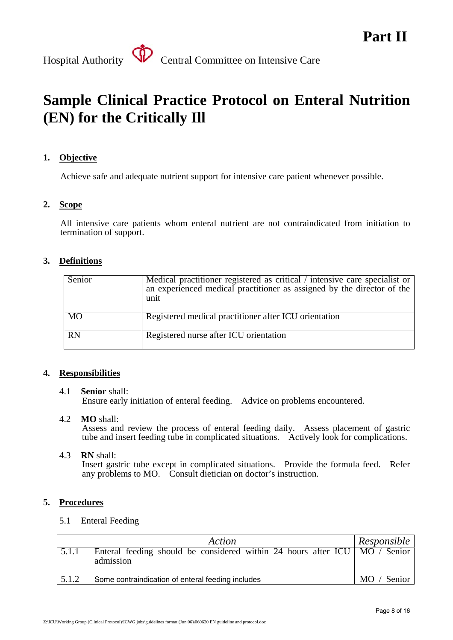

### **Sample Clinical Practice Protocol on Enteral Nutrition (EN) for the Critically Ill**

#### **1. Objective**

Achieve safe and adequate nutrient support for intensive care patient whenever possible.

#### **2. Scope**

All intensive care patients whom enteral nutrient are not contraindicated from initiation to termination of support.

#### **3. Definitions**

| Senior    | Medical practitioner registered as critical / intensive care specialist or<br>an experienced medical practitioner as assigned by the director of the<br>unit |
|-----------|--------------------------------------------------------------------------------------------------------------------------------------------------------------|
| <b>MO</b> | Registered medical practitioner after ICU orientation                                                                                                        |
| <b>RN</b> | Registered nurse after ICU orientation                                                                                                                       |

#### **4. Responsibilities**

#### 4.1 **Senior** shall: Ensure early initiation of enteral feeding. Advice on problems encountered.

4.2 **MO** shall:

Assess and review the process of enteral feeding daily. Assess placement of gastric tube and insert feeding tube in complicated situations. Actively look for complications.

4.3 **RN** shall:

Insert gastric tube except in complicated situations. Provide the formula feed. Refer any problems to MO. Consult dietician on doctor's instruction.

#### **5. Procedures**

5.1 Enteral Feeding

|       | Action                                                                                    | Responsible   |
|-------|-------------------------------------------------------------------------------------------|---------------|
| 5.1.1 | Enteral feeding should be considered within 24 hours after ICU   MO / Senior<br>admission |               |
| 5.1.2 | Some contraindication of enteral feeding includes                                         | Senior<br>MO. |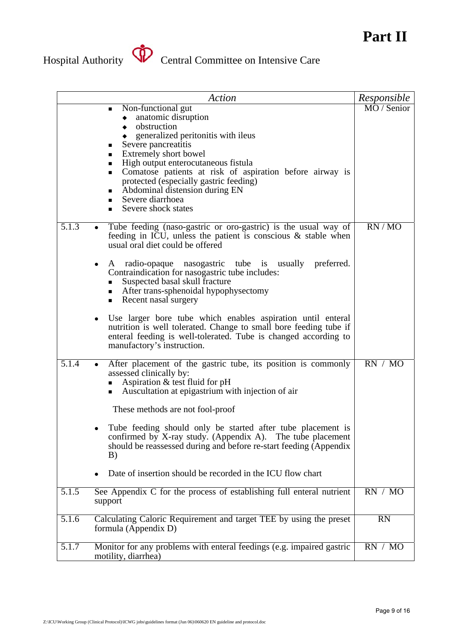

|                    | Action                                                                                                                                                                                                                                                                                                                                                                                                      | Responsible |
|--------------------|-------------------------------------------------------------------------------------------------------------------------------------------------------------------------------------------------------------------------------------------------------------------------------------------------------------------------------------------------------------------------------------------------------------|-------------|
|                    | Non-functional gut<br>٠<br>anatomic disruption<br>obstruction<br>generalized peritonitis with ileus<br>Severe pancreatitis<br>п<br>Extremely short bowel<br>٠<br>High output enterocutaneous fistula<br>٠<br>Comatose patients at risk of aspiration before airway is<br>٠<br>protected (especially gastric feeding)<br>Abdominal distension during EN<br>٠<br>Severe diarrhoea<br>Severe shock states<br>п | MO / Senior |
| 5.1.3              | Tube feeding (naso-gastric or oro-gastric) is the usual way of<br>feeding in ICU, unless the patient is conscious $\&$ stable when<br>usual oral diet could be offered                                                                                                                                                                                                                                      | RN/MO       |
|                    | radio-opaque nasogastric tube is usually preferred.<br>A<br>Contraindication for nasogastric tube includes:<br>Suspected basal skull fracture<br>• After trans-sphenoidal hypophysectomy<br>Recent nasal surgery<br>٠                                                                                                                                                                                       |             |
|                    | Use larger bore tube which enables aspiration until enteral<br>nutrition is well tolerated. Change to small bore feeding tube if<br>enteral feeding is well-tolerated. Tube is changed according to<br>manufactory's instruction.                                                                                                                                                                           |             |
| 5.1.4              | After placement of the gastric tube, its position is commonly<br>assessed clinically by:<br>Aspiration & test fluid for pH<br>• Auscultation at epigastrium with injection of air<br>These methods are not fool-proof                                                                                                                                                                                       | RN / MO     |
|                    | Tube feeding should only be started after tube placement is<br>confirmed by X-ray study. (Appendix A). The tube placement<br>should be reassessed during and before re-start feeding (Appendix<br>B)                                                                                                                                                                                                        |             |
|                    | Date of insertion should be recorded in the ICU flow chart                                                                                                                                                                                                                                                                                                                                                  |             |
| 5.1.5              | See Appendix C for the process of establishing full enteral nutrient<br>support                                                                                                                                                                                                                                                                                                                             | RN / MO     |
| $5.1.\overline{6}$ | Calculating Caloric Requirement and target TEE by using the preset<br>formula (Appendix D)                                                                                                                                                                                                                                                                                                                  | <b>RN</b>   |
| 5.1.7              | Monitor for any problems with enteral feedings (e.g. impaired gastric<br>motility, diarrhea)                                                                                                                                                                                                                                                                                                                | RN / MO     |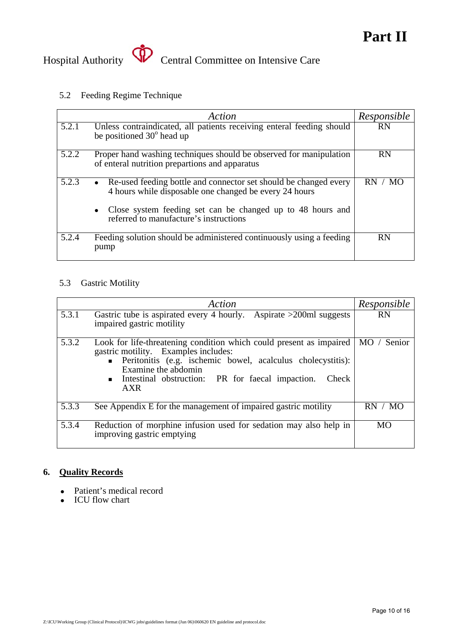

#### 5.2 Feeding Regime Technique

|       | Action                                                                                                                                  | Responsible |
|-------|-----------------------------------------------------------------------------------------------------------------------------------------|-------------|
| 5.2.1 | Unless contraindicated, all patients receiving enteral feeding should<br>be positioned $30^{\circ}$ head up                             | <b>RN</b>   |
| 5.2.2 | Proper hand washing techniques should be observed for manipulation<br>of enteral nutrition prepartions and apparatus                    | <b>RN</b>   |
| 5.2.3 | Re-used feeding bottle and connector set should be changed every<br>$\bullet$<br>4 hours while disposable one changed be every 24 hours | RN.         |
|       | Close system feeding set can be changed up to 48 hours and<br>$\bullet$<br>referred to manufacture's instructions                       |             |
| 5.2.4 | Feeding solution should be administered continuously using a feeding<br>pump                                                            | <b>RN</b>   |

#### 5.3 Gastric Motility

|       | Action                                                                                                                                                                                                                                                                  | Responsible      |
|-------|-------------------------------------------------------------------------------------------------------------------------------------------------------------------------------------------------------------------------------------------------------------------------|------------------|
| 5.3.1 | Gastric tube is aspirated every 4 hourly. Aspirate $>200$ ml suggests<br>impaired gastric motility                                                                                                                                                                      | <b>RN</b>        |
| 5.3.2 | Look for life-threatening condition which could present as impaired<br>gastric motility. Examples includes:<br>• Peritonitis (e.g. ischemic bowel, acalculus cholecystitis):<br>Examine the abdomin<br>Intestinal obstruction: PR for faecal impaction.<br>Check<br>AXR | $MO$ /<br>Senior |
| 5.3.3 | See Appendix E for the management of impaired gastric motility                                                                                                                                                                                                          | RN.<br>MO        |
| 5.3.4 | Reduction of morphine infusion used for sedation may also help in<br>improving gastric emptying                                                                                                                                                                         | <b>MO</b>        |

#### **6. Quality Records**

- Patient's medical record
- ICU flow chart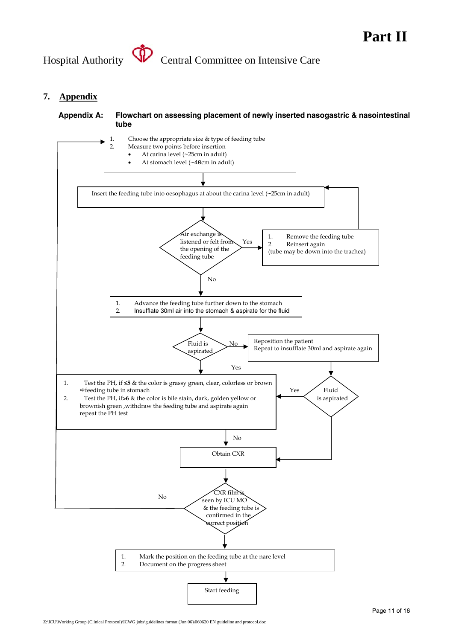

#### **7. Appendix**

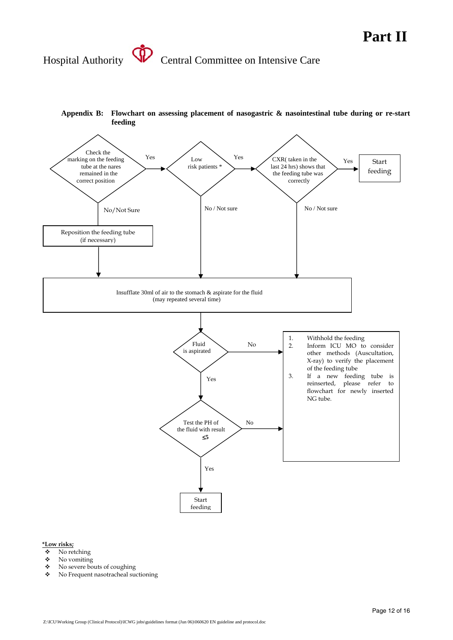

### **Appendix B: Flowchart on assessing placement of nasogastric & nasointestinal tube during or re-start**

### **\*Low risks;**

- $\bullet$  No retching<br> $\bullet$  No vomiting
- No vomiting
- No severe bouts of coughing
- No Frequent nasotracheal suctioning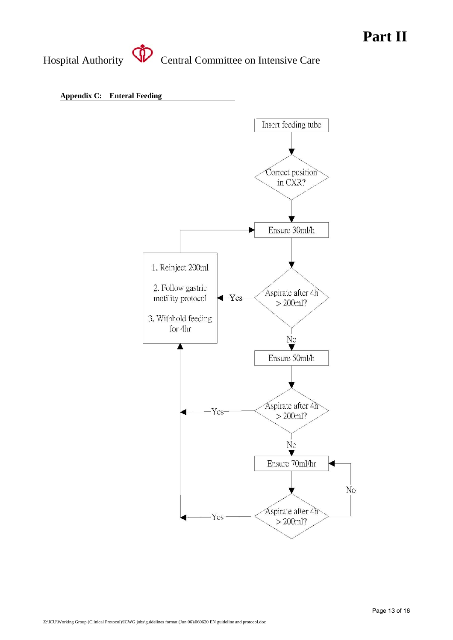**Appendix C: Enteral Feeding** 

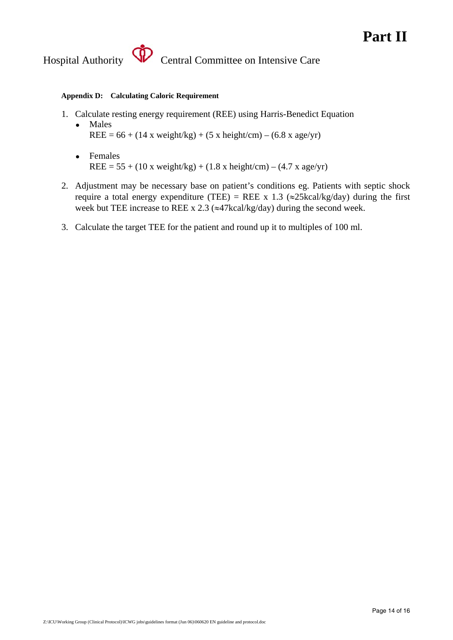#### **Appendix D: Calculating Caloric Requirement**

- 1. Calculate resting energy requirement (REE) using Harris-Benedict Equation
	- Males  $REE = 66 + (14 \times weight/kg) + (5 \times height/cm) - (6.8 \times age/yr)$
	- Females  $REE = 55 + (10 \text{ x weight/kg}) + (1.8 \text{ x height/cm}) - (4.7 \text{ x age/yr})$
- 2. Adjustment may be necessary base on patient's conditions eg. Patients with septic shock require a total energy expenditure (TEE) = REE x 1.3 ( $\approx$ 25kcal/kg/day) during the first week but TEE increase to REE x 2.3 ( $\approx$ 47kcal/kg/day) during the second week.
- 3. Calculate the target TEE for the patient and round up it to multiples of 100 ml.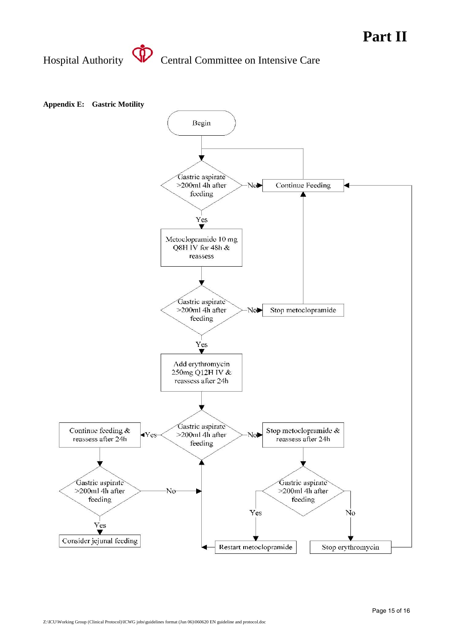